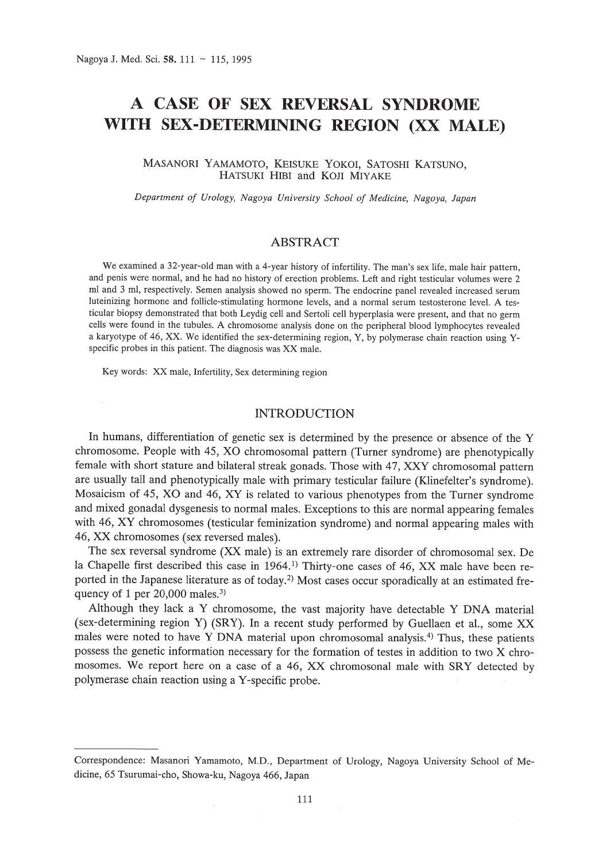# **A CASE OF SEX REVERSAL SYNDROME WITH SEX-DETERMINING REGION (XX MALE)**

MASANORI YAMAMOTO, KEISUKE YOKOI, SATOSHI KATSUNO, HATSUKI HIBI and KOJI MIYAKE

*Department of Urology, Nagoya University School of Medicine, Nagoya, Japan*

## ABSTRACT

We examined a 32-year-old man with a 4-year history of infertility. The man's sex life, male hair pattern, and penis were normal, and he had no history of erection problems. Left and right testicular volumes were 2 ml and 3 ml, respectively. Semen analysis showed no sperm. The endocrine panel revealed increased serum luteinizing hormone and follicle-stimulating hormone levels, and a normal serum testosterone level. A testicular biopsy demonstrated that both Leydig cell and Sertoli cell hyperplasia were present, and that no germ cells were found in the tubules. A chromosome analysis done on the peripheral blood lymphocytes revealed a karyotype of 46, XX. We identified the sex-determining region, Y, by polymerase chain reaction using Yspecific probes in this patient. The diagnosis was XX male.

Key words: XX male, Infertility, Sex determining region

## INTRODUCTION

In humans, differentiation of genetic sex is determined by the presence or absence of the Y chromosome. People with 45, XO chromosomal pattern (Turner syndrome) are phenotypically female with short stature and bilateral streak gonads. Those with 47, XXY chromosomal pattern are usually tall and phenotypically male with primary testicular failure (Klinefelter's syndrome). Mosaicism of 45, XO and 46, XY is related to various phenotypes from the Turner syndrome and mixed gonadal dysgenesis to normal males. Exceptions to this are normal appearing females with 46, XY chromosomes (testicular feminization syndrome) and normal appearing males with 46, XX chromosomes (sex reversed males).

The sex reversal syndrome (XX male) is an extremely rare disorder of chromosomal sex. De la Chapelle first described this case in 1964.<sup>1</sup> Thirty-one cases of 46, XX male have been reported in the Japanese literature as of today.2) Most cases occur sporadically at an estimated frequency of 1 per  $20,000$  males.<sup>3)</sup>

Although they lack a Y chromosome, the vast majority have detectable Y DNA material (sex-determining region Y) (SRY). In a recent study performed by Guellaen et aI., some XX males were noted to have Y DNA material upon chromosomal analysis.4) Thus, these patients possess the genetic information necessary for the formation of testes in addition to two X chromosomes. We report here on a case of a 46, XX chromosonal male with SRY detected by polymerase chain reaction using a Y-specific probe.

Correspondence: Masanori Yamamoto, M.D., Department of Urology, Nagoya University School of Medicine, 65 Tsurumai-cho, Showa-ku, Nagoya 466, Japan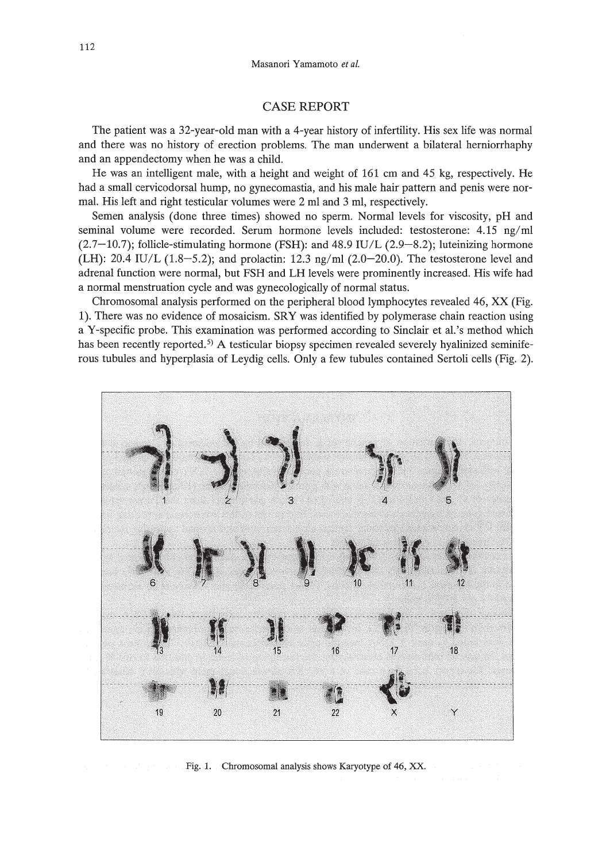### CASE REPORT

The patient was a 32-year-old man with a 4-year history of infertility. His sex life was normal and there was no history of erection problems. The man underwent a bilateral herniorrhaphy and an appendectomy when he was a child.

He was an intelligent male, with a height and weight of 161 cm and 45 kg, respectively. He had a small cervicodorsal hump, no gynecomastia, and his male hair pattern and penis were normal. His left and right testicular volumes were 2 ml and 3 ml, respectively.

Semen analysis (done three times) showed no sperm. Normal levels for viscosity, pH and seminal volume were recorded. Serum hormone levels included: testosterone: 4.15 *ng/ml*  $(2.7-10.7)$ ; follicle-stimulating hormone (FSH): and 48.9 IU/L  $(2.9-8.2)$ ; luteinizing hormone (LH):  $20.4$  IU/L  $(1.8-5.2)$ ; and prolactin:  $12.3$  *ng/ml*  $(2.0-20.0)$ . The testosterone level and adrenal function were normal, but FSH and LH levels were prominently increased. His wife had a normal menstruation cycle and was gynecologically of normal status.

Chromosomal analysis performed on the peripheral blood lymphocytes revealed 46, XX (Fig. 1). There was no evidence of mosaicism. SRY was identified by polymerase chain reaction using a Y-specific probe. This examination was performed according to Sinclair et al.'s method which has been recently reported.<sup>5)</sup> A testicular biopsy specimen revealed severely hyalinized seminiferous tubules and hyperplasia of Leydig cells. Only a few tubules contained Sertoli cells (Fig. 2).



Fig. 1. Chromosomal analysis shows Karyotype of 46, XX.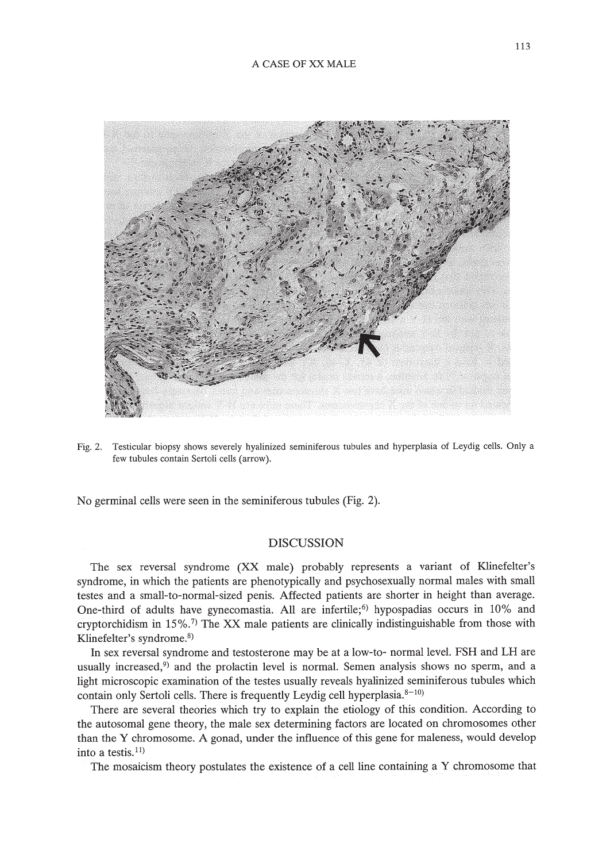

Fig. 2. Testicular biopsy shows severely hyalinized seminiferous tubules and hyperplasia of Leydig cells. Only a few tubules contain Sertoli cells (arrow).

No germinal cells were seen in the seminiferous tubules (Fig. 2).

### DISCUSSION

The sex reversal syndrome (XX male) probably represents a variant of Klinefelter's syndrome, in which the patients are phenotypically and psychosexually normal males with small testes and a small-to-normal-sized penis. Affected patients are shorter in height than average. One-third of adults have gynecomastia. All are infertile;<sup>6)</sup> hypospadias occurs in 10% and cryptorchidism in  $15\%$ .<sup>7)</sup> The XX male patients are clinically indistinguishable from those with Klinefelter's syndrome.*B)*

**In** sex reversal syndrome and testosterone may be at a low-to- normal level. FSH and **LH** are usually increased,<sup>9)</sup> and the prolactin level is normal. Semen analysis shows no sperm, and a light microscopic examination of the testes usually reveals hyalinized seminiferous tubules which contain only Sertoli cells. There is frequently Leydig cell hyperplasia. $8-10$ )

There are several theories which try to explain the etiology of this condition. According to the autosomal gene theory, the male sex determining factors are located on chromosomes other than the Y chromosome. A gonad, under the influence of this gene for maleness, would develop into a testis. $11)$ 

The mosaicism theory postulates the existence of a cell line containing a Y chromosome that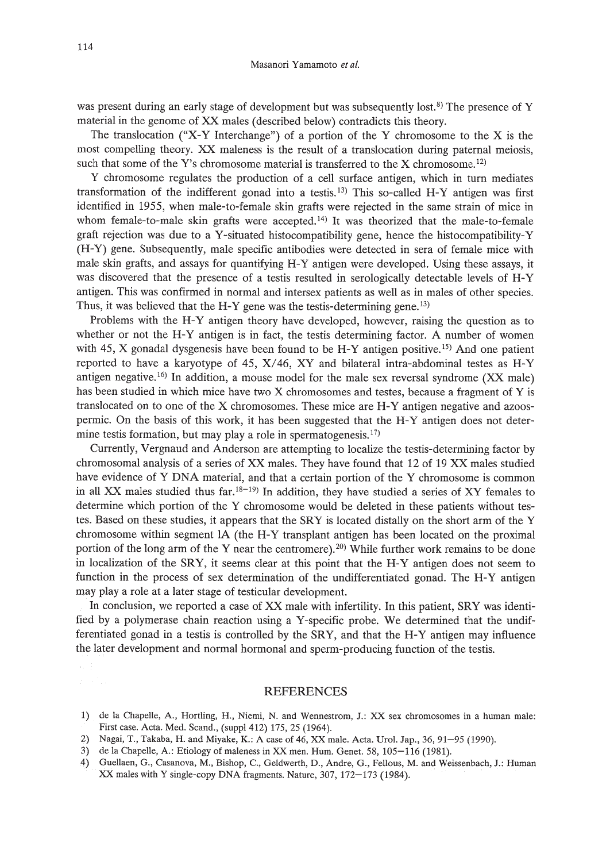was present during an early stage of development but was subsequently lost.<sup>8)</sup> The presence of Y material in the genome of XX males (described below) contradicts this theory.

The translocation ("X-Y Interchange") of a portion of the Y chromosome to the X is the most compelling theory. XX maleness is the result of a translocation during paternal meiosis, such that some of the Y's chromosome material is transferred to the X chromosome.<sup>12)</sup>

Y chromosome regulates the production of a cell surface antigen, which in turn mediates transformation of the indifferent gonad into a testis. 13) This so-called H-Y antigen was first identified in 1955, when male-to-female skin grafts were rejected in the same strain of mice in whom female-to-male skin grafts were accepted.<sup>14)</sup> It was theorized that the male-to-female graft rejection was due to a Y-situated histocompatibility gene, hence the histocompatibility-Y (H-Y) gene. Subsequently, male specific antibodies were detected in sera of female mice with male skin grafts, and assays for quantifying H-Y antigen were developed. Using these assays, it was discovered that the presence of a testis resulted in serologically detectable levels of H-Y antigen. This was confirmed in normal and intersex patients as well as in males of other species. Thus, it was believed that the H-Y gene was the testis-determining gene.<sup>13)</sup>

Problems with the H-Y antigen theory have developed, however, raising the question as to whether or not the H-Y antigen is in fact, the testis determining factor. A number of women with 45, X gonadal dysgenesis have been found to be  $H-Y$  antigen positive.<sup>15</sup> And one patient reported to have a karyotype of 45, X/46, XY and bilateral intra-abdominal testes as H-Y antigen negative. 16) In addition, a mouse model for the male sex reversal syndrome (XX male) has been studied in which mice have two X chromosomes and testes, because a fragment of Y is translocated on to one of the X chromosomes. These mice are H-Y antigen negative and azoospermic. On the basis of this work, it has been suggested that the H-Y antigen does not determine testis formation, but may play a role in spermatogenesis.<sup>17)</sup>

Currently, Vergnaud and Anderson are attempting to localize the testis-determining factor by chromosomal analysis of a series of XX males. They have found that 12 of 19 XX males studied have evidence of Y DNA material, and that a certain portion of the Y chromosome is common in all XX males studied thus far.<sup>18-19</sup>) In addition, they have studied a series of XY females to determine which portion of the Y chromosome would be deleted in these patients without testes. Based on these studies, it appears that the SRY is located distally on the short arm of the Y chromosome within segment IA (the H-Y transplant antigen has been located on the proximal portion of the long arm of the Y near the centromere).<sup>20)</sup> While further work remains to be done in localization of the SRY, it seems clear at this point that the H-Y antigen does not seem to function in the process of sex determination of the undifferentiated gonad. The H-Y antigen may play a role at a later stage of testicular development.

In conclusion, we reported a case of XX male with infertility. In this patient, SRY was identified by a polymerase chain reaction using a Y-specific probe. We determined that the undifferentiated gonad in a testis is controlled by the SRY, and that the H-Y antigen may influence the later development and normal hormonal and sperm-producing function of the testis.

#### REFERENCES

- 2) Nagai, T., Takaba, H. and Miyake, K.: A case of 46, XX male. Acta. Urol. Jap., 36, 91-95 (1990).
- 3) de la Chapelle, A.: Etiology of maleness in XX men. Hum. Genet. 58, 105-116 (1981).
- 4) Guellaen, G., Casanova, M., Bishop, C., Geldwerth, D., Andre, G., Fellous, M. and Weissenbach, J.: Human XX males with Y single-copy DNA fragments. Nature, 307,172-173 (1984).

<sup>1)</sup> de la Chapelle, A., Hortling, H., Niemi, N. and Wennestrom, J.: XX sex chromosomes in a human male: First case. Acta. Med. Scand., (suppI412) 175, 25 (1964).